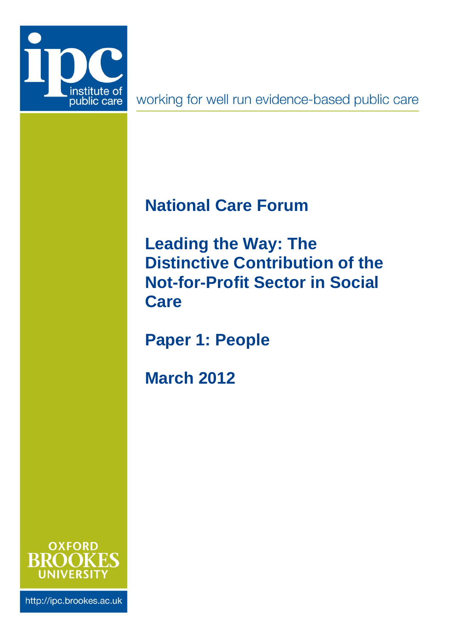

working for well run evidence-based public care

# <span id="page-0-0"></span>**National Care Forum**

<span id="page-0-1"></span>**Leading the Way: The Distinctive Contribution of the Not-for-Profit Sector in Social Care**

**Paper 1: People**

**March 2012**



http://ipc.brookes.ac.uk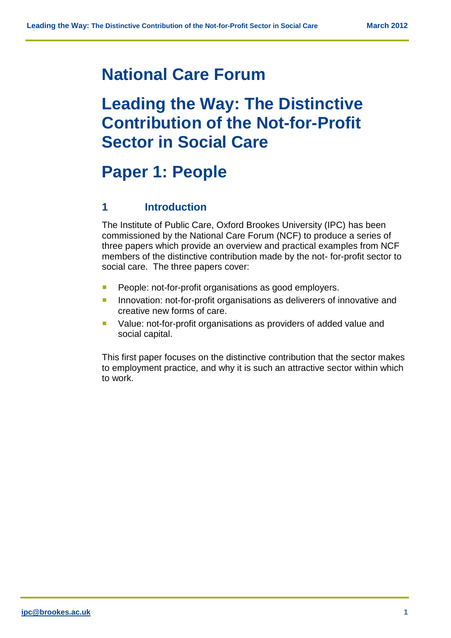### **[National Care Forum](#page-0-0)**

## **[Leading the Way: The Distinctive](#page-0-1)  [Contribution of the Not-for-Profit](#page-0-1)  [Sector in Social Care](#page-0-1)**

## **Paper 1: People**

#### **1 Introduction**

The Institute of Public Care, Oxford Brookes University (IPC) has been commissioned by the National Care Forum (NCF) to produce a series of three papers which provide an overview and practical examples from NCF members of the distinctive contribution made by the not- for-profit sector to social care. The three papers cover:

- **People: not-for-profit organisations as good employers.**
- **Innovation: not-for-profit organisations as deliverers of innovative and** creative new forms of care.
- Value: not-for-profit organisations as providers of added value and social capital.

This first paper focuses on the distinctive contribution that the sector makes to employment practice, and why it is such an attractive sector within which to work.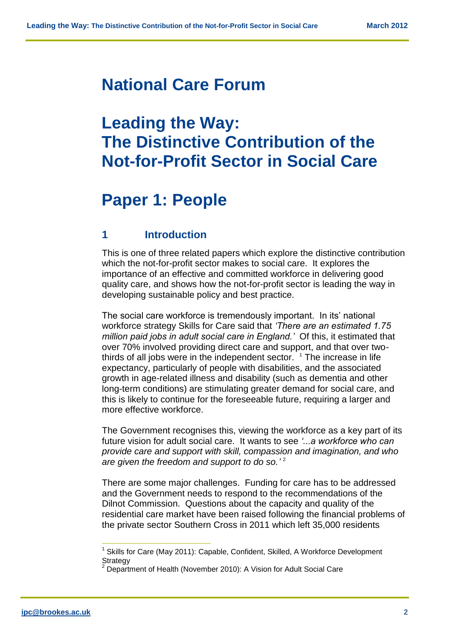### **[National Care Forum](#page-0-0)**

## **Leading the Way: The Distinctive Contribution of the Not-for-Profit Sector in Social Care**

## **Paper 1: People**

#### **1 Introduction**

This is one of three related papers which explore the distinctive contribution which the not-for-profit sector makes to social care. It explores the importance of an effective and committed workforce in delivering good quality care, and shows how the not-for-profit sector is leading the way in developing sustainable policy and best practice.

The social care workforce is tremendously important. In its' national workforce strategy Skills for Care said that *'There are an estimated 1.75 million paid jobs in adult social care in England.'* Of this, it estimated that over 70% involved providing direct care and support, and that over twothirds of all jobs were in the independent sector.  $1$  The increase in life expectancy, particularly of people with disabilities, and the associated growth in age-related illness and disability (such as dementia and other long-term conditions) are stimulating greater demand for social care, and this is likely to continue for the foreseeable future, requiring a larger and more effective workforce.

The Government recognises this, viewing the workforce as a key part of its future vision for adult social care. It wants to see *'...a workforce who can provide care and support with skill, compassion and imagination, and who are given the freedom and support to do so.'* 2

There are some major challenges. Funding for care has to be addressed and the Government needs to respond to the recommendations of the Dilnot Commission. Questions about the capacity and quality of the residential care market have been raised following the financial problems of the private sector Southern Cross in 2011 which left 35,000 residents

 $\frac{1}{2}$ 

<sup>&</sup>lt;sup>1</sup> Skills for Care (May 2011): Capable, Confident, Skilled, A Workforce Development **Strategy** 

 $2$  Department of Health (November 2010): A Vision for Adult Social Care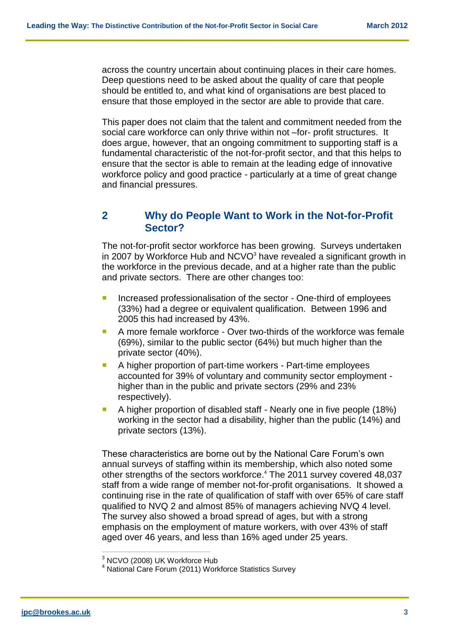across the country uncertain about continuing places in their care homes. Deep questions need to be asked about the quality of care that people should be entitled to, and what kind of organisations are best placed to ensure that those employed in the sector are able to provide that care.

This paper does not claim that the talent and commitment needed from the social care workforce can only thrive within not –for- profit structures. It does argue, however, that an ongoing commitment to supporting staff is a fundamental characteristic of the not-for-profit sector, and that this helps to ensure that the sector is able to remain at the leading edge of innovative workforce policy and good practice - particularly at a time of great change and financial pressures.

#### **2 Why do People Want to Work in the Not-for-Profit Sector?**

The not-for-profit sector workforce has been growing. Surveys undertaken in 2007 by Workforce Hub and  $NCVO<sup>3</sup>$  have revealed a significant growth in the workforce in the previous decade, and at a higher rate than the public and private sectors. There are other changes too:

- **Increased professionalisation of the sector One-third of employees** (33%) had a degree or equivalent qualification. Between 1996 and 2005 this had increased by 43%.
- A more female workforce Over two-thirds of the workforce was female (69%), similar to the public sector (64%) but much higher than the private sector (40%).
- A higher proportion of part-time workers Part-time employees accounted for 39% of voluntary and community sector employment higher than in the public and private sectors (29% and 23% respectively).
- A higher proportion of disabled staff Nearly one in five people (18%) working in the sector had a disability, higher than the public (14%) and private sectors (13%).

These characteristics are borne out by the National Care Forum's own annual surveys of staffing within its membership, which also noted some other strengths of the sectors workforce. <sup>4</sup> The 2011 survey covered 48,037 staff from a wide range of member not-for-profit organisations. It showed a continuing rise in the rate of qualification of staff with over 65% of care staff qualified to NVQ 2 and almost 85% of managers achieving NVQ 4 level. The survey also showed a broad spread of ages, but with a strong emphasis on the employment of mature workers, with over 43% of staff aged over 46 years, and less than 16% aged under 25 years.

 $\overline{a}$ 

 $3$  NCVO (2008) UK Workforce Hub

<sup>&</sup>lt;sup>4</sup> National Care Forum (2011) Workforce Statistics Survey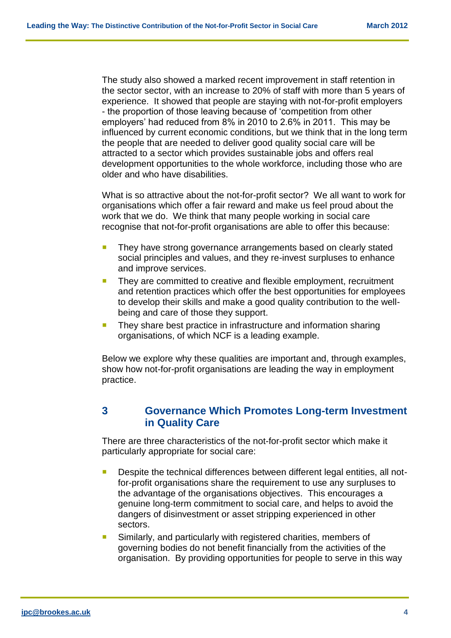The study also showed a marked recent improvement in staff retention in the sector sector, with an increase to 20% of staff with more than 5 years of experience. It showed that people are staying with not-for-profit employers - the proportion of those leaving because of 'competition from other employers' had reduced from 8% in 2010 to 2.6% in 2011. This may be influenced by current economic conditions, but we think that in the long term the people that are needed to deliver good quality social care will be attracted to a sector which provides sustainable jobs and offers real development opportunities to the whole workforce, including those who are older and who have disabilities.

What is so attractive about the not-for-profit sector? We all want to work for organisations which offer a fair reward and make us feel proud about the work that we do. We think that many people working in social care recognise that not-for-profit organisations are able to offer this because:

- They have strong governance arrangements based on clearly stated social principles and values, and they re-invest surpluses to enhance and improve services.
- **They are committed to creative and flexible employment, recruitment** and retention practices which offer the best opportunities for employees to develop their skills and make a good quality contribution to the wellbeing and care of those they support.
- They share best practice in infrastructure and information sharing organisations, of which NCF is a leading example.

Below we explore why these qualities are important and, through examples, show how not-for-profit organisations are leading the way in employment practice.

#### **3 Governance Which Promotes Long-term Investment in Quality Care**

There are three characteristics of the not-for-profit sector which make it particularly appropriate for social care:

- Despite the technical differences between different legal entities, all notfor-profit organisations share the requirement to use any surpluses to the advantage of the organisations objectives. This encourages a genuine long-term commitment to social care, and helps to avoid the dangers of disinvestment or asset stripping experienced in other sectors.
- **Similarly, and particularly with registered charities, members of** governing bodies do not benefit financially from the activities of the organisation. By providing opportunities for people to serve in this way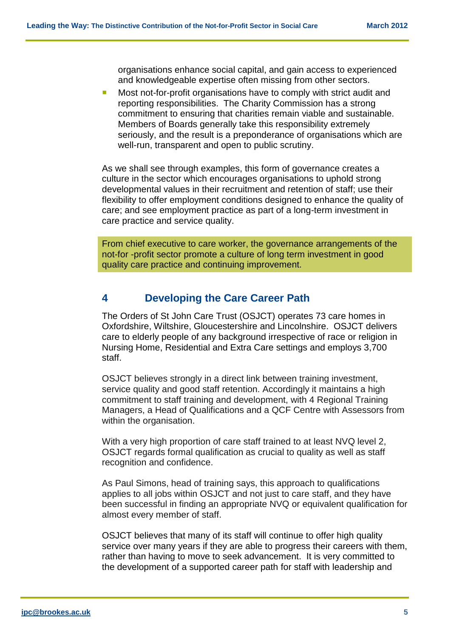organisations enhance social capital, and gain access to experienced and knowledgeable expertise often missing from other sectors.

**Most not-for-profit organisations have to comply with strict audit and** reporting responsibilities. The Charity Commission has a strong commitment to ensuring that charities remain viable and sustainable. Members of Boards generally take this responsibility extremely seriously, and the result is a preponderance of organisations which are well-run, transparent and open to public scrutiny.

As we shall see through examples, this form of governance creates a culture in the sector which encourages organisations to uphold strong developmental values in their recruitment and retention of staff; use their flexibility to offer employment conditions designed to enhance the quality of care; and see employment practice as part of a long-term investment in care practice and service quality.

From chief executive to care worker, the governance arrangements of the not-for -profit sector promote a culture of long term investment in good quality care practice and continuing improvement.

#### **4 Developing the Care Career Path**

The Orders of St John Care Trust (OSJCT) operates 73 care homes in Oxfordshire, Wiltshire, Gloucestershire and Lincolnshire. OSJCT delivers care to elderly people of any background irrespective of race or religion in Nursing Home, Residential and Extra Care settings and employs 3,700 staff.

OSJCT believes strongly in a direct link between training investment, service quality and good staff retention. Accordingly it maintains a high commitment to staff training and development, with 4 Regional Training Managers, a Head of Qualifications and a QCF Centre with Assessors from within the organisation.

With a very high proportion of care staff trained to at least NVQ level 2, OSJCT regards formal qualification as crucial to quality as well as staff recognition and confidence.

As Paul Simons, head of training says, this approach to qualifications applies to all jobs within OSJCT and not just to care staff, and they have been successful in finding an appropriate NVQ or equivalent qualification for almost every member of staff.

OSJCT believes that many of its staff will continue to offer high quality service over many years if they are able to progress their careers with them, rather than having to move to seek advancement. It is very committed to the development of a supported career path for staff with leadership and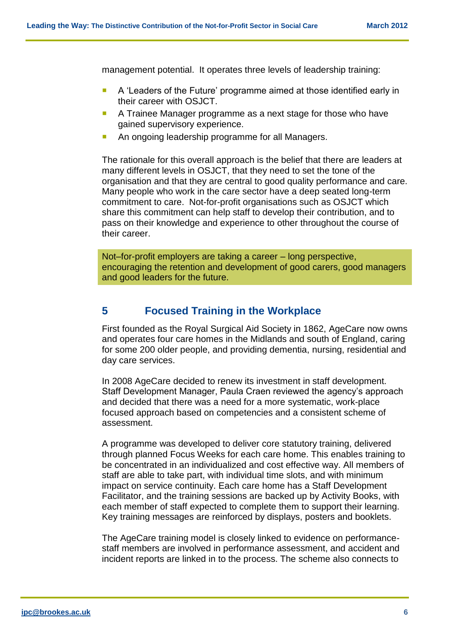management potential. It operates three levels of leadership training:

- **A** 'Leaders of the Future' programme aimed at those identified early in their career with OSJCT.
- A Trainee Manager programme as a next stage for those who have gained supervisory experience.
- An ongoing leadership programme for all Managers.

The rationale for this overall approach is the belief that there are leaders at many different levels in OSJCT, that they need to set the tone of the organisation and that they are central to good quality performance and care. Many people who work in the care sector have a deep seated long-term commitment to care. Not-for-profit organisations such as OSJCT which share this commitment can help staff to develop their contribution, and to pass on their knowledge and experience to other throughout the course of their career.

Not–for-profit employers are taking a career – long perspective, encouraging the retention and development of good carers, good managers and good leaders for the future.

#### **5 Focused Training in the Workplace**

First founded as the Royal Surgical Aid Society in 1862, AgeCare now owns and operates four care homes in the Midlands and south of England, caring for some 200 older people, and providing dementia, nursing, residential and day care services.

In 2008 AgeCare decided to renew its investment in staff development. Staff Development Manager, Paula Craen reviewed the agency's approach and decided that there was a need for a more systematic, work-place focused approach based on competencies and a consistent scheme of assessment.

A programme was developed to deliver core statutory training, delivered through planned Focus Weeks for each care home. This enables training to be concentrated in an individualized and cost effective way. All members of staff are able to take part, with individual time slots, and with minimum impact on service continuity. Each care home has a Staff Development Facilitator, and the training sessions are backed up by Activity Books, with each member of staff expected to complete them to support their learning. Key training messages are reinforced by displays, posters and booklets.

The AgeCare training model is closely linked to evidence on performancestaff members are involved in performance assessment, and accident and incident reports are linked in to the process. The scheme also connects to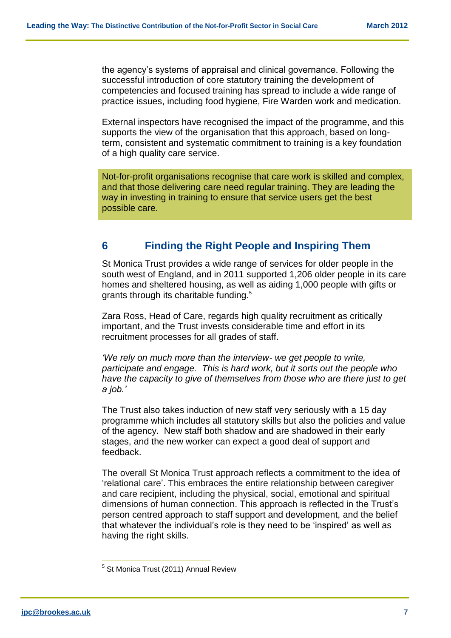the agency's systems of appraisal and clinical governance. Following the successful introduction of core statutory training the development of competencies and focused training has spread to include a wide range of practice issues, including food hygiene, Fire Warden work and medication.

External inspectors have recognised the impact of the programme, and this supports the view of the organisation that this approach, based on longterm, consistent and systematic commitment to training is a key foundation of a high quality care service.

Not-for-profit organisations recognise that care work is skilled and complex, and that those delivering care need regular training. They are leading the way in investing in training to ensure that service users get the best possible care.

#### **6 Finding the Right People and Inspiring Them**

St Monica Trust provides a wide range of services for older people in the south west of England, and in 2011 supported 1,206 older people in its care homes and sheltered housing, as well as aiding 1,000 people with gifts or grants through its charitable funding.<sup>5</sup>

Zara Ross, Head of Care, regards high quality recruitment as critically important, and the Trust invests considerable time and effort in its recruitment processes for all grades of staff.

*'We rely on much more than the interview- we get people to write, participate and engage. This is hard work, but it sorts out the people who have the capacity to give of themselves from those who are there just to get a job.'*

The Trust also takes induction of new staff very seriously with a 15 day programme which includes all statutory skills but also the policies and value of the agency. New staff both shadow and are shadowed in their early stages, and the new worker can expect a good deal of support and feedback.

The overall St Monica Trust approach reflects a commitment to the idea of 'relational care'. This embraces the entire relationship between caregiver and care recipient, including the physical, social, emotional and spiritual dimensions of human connection. This approach is reflected in the Trust's person centred approach to staff support and development, and the belief that whatever the individual's role is they need to be 'inspired' as well as having the right skills.

 $\overline{a}$ 

<sup>5</sup> St Monica Trust (2011) Annual Review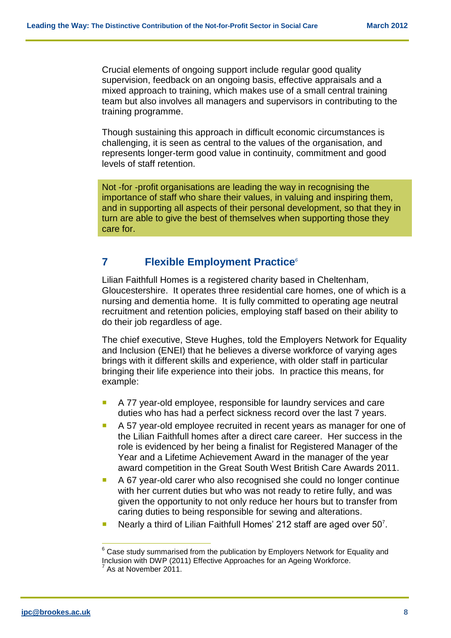Crucial elements of ongoing support include regular good quality supervision, feedback on an ongoing basis, effective appraisals and a mixed approach to training, which makes use of a small central training team but also involves all managers and supervisors in contributing to the training programme.

Though sustaining this approach in difficult economic circumstances is challenging, it is seen as central to the values of the organisation, and represents longer-term good value in continuity, commitment and good levels of staff retention.

Not -for -profit organisations are leading the way in recognising the importance of staff who share their values, in valuing and inspiring them, and in supporting all aspects of their personal development, so that they in turn are able to give the best of themselves when supporting those they care for.

#### **7 Flexible Employment Practice***<sup>6</sup>*

Lilian Faithfull Homes is a registered charity based in Cheltenham, Gloucestershire. It operates three residential care homes, one of which is a nursing and dementia home. It is fully committed to operating age neutral recruitment and retention policies, employing staff based on their ability to do their job regardless of age.

The chief executive, Steve Hughes, told the Employers Network for Equality and Inclusion (ENEI) that he believes a diverse workforce of varying ages brings with it different skills and experience, with older staff in particular bringing their life experience into their jobs. In practice this means, for example:

- A 77 year-old employee, responsible for laundry services and care duties who has had a perfect sickness record over the last 7 years.
- A 57 year-old employee recruited in recent years as manager for one of the Lilian Faithfull homes after a direct care career. Her success in the role is evidenced by her being a finalist for Registered Manager of the Year and a Lifetime Achievement Award in the manager of the year award competition in the Great South West British Care Awards 2011.
- A 67 year-old carer who also recognised she could no longer continue with her current duties but who was not ready to retire fully, and was given the opportunity to not only reduce her hours but to transfer from caring duties to being responsible for sewing and alterations.
- Nearly a third of Lilian Faithfull Homes' 212 staff are aged over  $50<sup>7</sup>$ .

 $\overline{\phantom{a}}$ 

 $6$  Case study summarised from the publication by Employers Network for Equality and Inclusion with DWP (2011) Effective Approaches for an Ageing Workforce.  $7$  As at November 2011.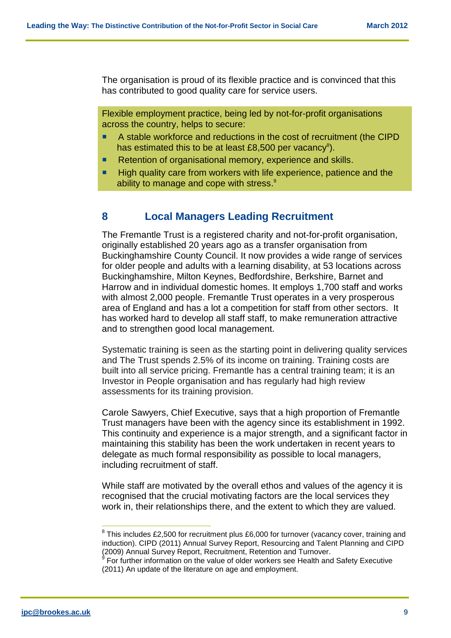The organisation is proud of its flexible practice and is convinced that this has contributed to good quality care for service users.

Flexible employment practice, being led by not-for-profit organisations across the country, helps to secure:

- A stable workforce and reductions in the cost of recruitment (the CIPD has estimated this to be at least £8,500 per vacancy<sup>8</sup>).
- Retention of organisational memory, experience and skills.
- **High quality care from workers with life experience, patience and the** ability to manage and cope with stress.<sup>9</sup>

#### **8 Local Managers Leading Recruitment**

The Fremantle Trust is a registered charity and not-for-profit organisation, originally established 20 years ago as a transfer organisation from Buckinghamshire County Council. It now provides a wide range of services for older people and adults with a learning disability, at 53 locations across Buckinghamshire, Milton Keynes, Bedfordshire, Berkshire, Barnet and Harrow and in individual domestic homes. It employs 1,700 staff and works with almost 2,000 people. Fremantle Trust operates in a very prosperous area of England and has a lot a competition for staff from other sectors. It has worked hard to develop all staff staff, to make remuneration attractive and to strengthen good local management.

Systematic training is seen as the starting point in delivering quality services and The Trust spends 2.5% of its income on training. Training costs are built into all service pricing. Fremantle has a central training team; it is an Investor in People organisation and has regularly had high review assessments for its training provision.

Carole Sawyers, Chief Executive, says that a high proportion of Fremantle Trust managers have been with the agency since its establishment in 1992. This continuity and experience is a major strength, and a significant factor in maintaining this stability has been the work undertaken in recent years to delegate as much formal responsibility as possible to local managers, including recruitment of staff.

While staff are motivated by the overall ethos and values of the agency it is recognised that the crucial motivating factors are the local services they work in, their relationships there, and the extent to which they are valued.

 $\overline{\phantom{a}}$ 

 $8$  This includes £2,500 for recruitment plus £6,000 for turnover (vacancy cover, training and induction). CIPD (2011) Annual Survey Report, Resourcing and Talent Planning and CIPD (2009) Annual Survey Report, Recruitment, Retention and Turnover.<br><sup>9</sup> For further information on the value of older workers see Health and Safety Executive

<sup>(2011)</sup> An update of the literature on age and employment.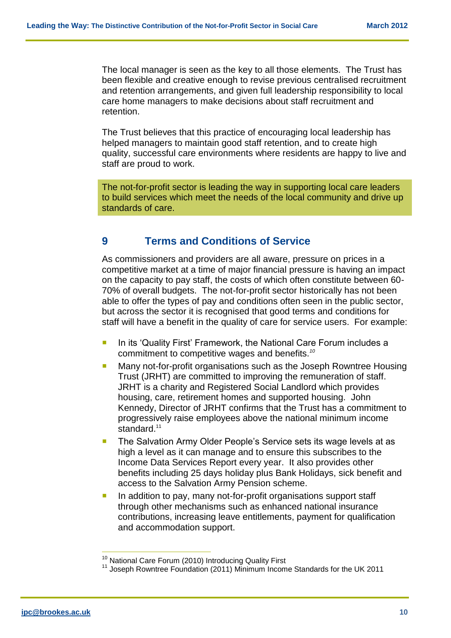The local manager is seen as the key to all those elements. The Trust has been flexible and creative enough to revise previous centralised recruitment and retention arrangements, and given full leadership responsibility to local care home managers to make decisions about staff recruitment and retention.

The Trust believes that this practice of encouraging local leadership has helped managers to maintain good staff retention, and to create high quality, successful care environments where residents are happy to live and staff are proud to work.

The not-for-profit sector is leading the way in supporting local care leaders to build services which meet the needs of the local community and drive up standards of care.

#### **9 Terms and Conditions of Service**

As commissioners and providers are all aware, pressure on prices in a competitive market at a time of major financial pressure is having an impact on the capacity to pay staff, the costs of which often constitute between 60- 70% of overall budgets. The not-for-profit sector historically has not been able to offer the types of pay and conditions often seen in the public sector, but across the sector it is recognised that good terms and conditions for staff will have a benefit in the quality of care for service users. For example:

- In its 'Quality First' Framework, the National Care Forum includes a commitment to competitive wages and benefits.*<sup>10</sup>*
- Many not-for-profit organisations such as the Joseph Rowntree Housing Trust (JRHT) are committed to improving the remuneration of staff. JRHT is a charity and Registered Social Landlord which provides housing, care, retirement homes and supported housing. John Kennedy, Director of JRHT confirms that the Trust has a commitment to progressively raise employees above the national minimum income standard<sup>11</sup>
- **The Salvation Army Older People's Service sets its wage levels at as** high a level as it can manage and to ensure this subscribes to the Income Data Services Report every year. It also provides other benefits including 25 days holiday plus Bank Holidays, sick benefit and access to the Salvation Army Pension scheme.
- **In addition to pay, many not-for-profit organisations support staff** through other mechanisms such as enhanced national insurance contributions, increasing leave entitlements, payment for qualification and accommodation support.

 $\overline{a}$ 

<sup>&</sup>lt;sup>10</sup> National Care Forum (2010) Introducing Quality First

<sup>11</sup> Joseph Rowntree Foundation (2011) Minimum Income Standards for the UK 2011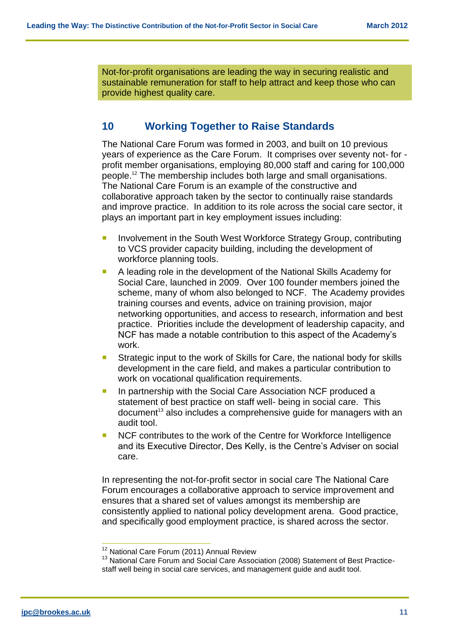Not-for-profit organisations are leading the way in securing realistic and sustainable remuneration for staff to help attract and keep those who can provide highest quality care.

#### **10 Working Together to Raise Standards**

The National Care Forum was formed in 2003, and built on 10 previous years of experience as the Care Forum. It comprises over seventy not- for profit member organisations, employing 80,000 staff and caring for 100,000 people.<sup>12</sup> The membership includes both large and small organisations. The National Care Forum is an example of the constructive and collaborative approach taken by the sector to continually raise standards and improve practice. In addition to its role across the social care sector, it plays an important part in key employment issues including:

- Involvement in the South West Workforce Strategy Group, contributing to VCS provider capacity building, including the development of workforce planning tools.
- A leading role in the development of the National Skills Academy for Social Care, launched in 2009. Over 100 founder members joined the scheme, many of whom also belonged to NCF. The Academy provides training courses and events, advice on training provision, major networking opportunities, and access to research, information and best practice. Priorities include the development of leadership capacity, and NCF has made a notable contribution to this aspect of the Academy's work.
- **Strategic input to the work of Skills for Care, the national body for skills** development in the care field, and makes a particular contribution to work on vocational qualification requirements.
- **In partnership with the Social Care Association NCF produced a** statement of best practice on staff well- being in social care. This document<sup>13</sup> also includes a comprehensive quide for managers with an audit tool.
- NCF contributes to the work of the Centre for Workforce Intelligence and its Executive Director, Des Kelly, is the Centre's Adviser on social care.

In representing the not-for-profit sector in social care The National Care Forum encourages a collaborative approach to service improvement and ensures that a shared set of values amongst its membership are consistently applied to national policy development arena. Good practice, and specifically good employment practice, is shared across the sector.

 $\frac{1}{2}$ 

<sup>&</sup>lt;sup>12</sup> National Care Forum (2011) Annual Review

<sup>&</sup>lt;sup>13</sup> National Care Forum and Social Care Association (2008) Statement of Best Practicestaff well being in social care services, and management guide and audit tool.